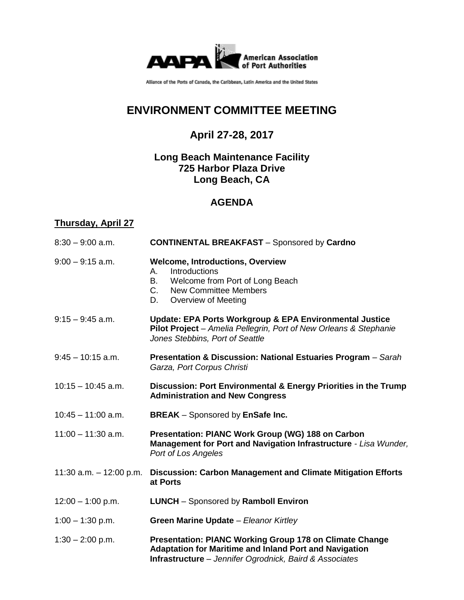

Alliance of the Ports of Canada, the Caribbean, Latin America and the United States

# **ENVIRONMENT COMMITTEE MEETING**

## **April 27-28, 2017**

### **Long Beach Maintenance Facility 725 Harbor Plaza Drive Long Beach, CA**

### **AGENDA**

### **Thursday, April 27**

| $8:30 - 9:00$ a.m.        | <b>CONTINENTAL BREAKFAST - Sponsored by Cardno</b>                                                                                                                                     |
|---------------------------|----------------------------------------------------------------------------------------------------------------------------------------------------------------------------------------|
| $9:00 - 9:15$ a.m.        | <b>Welcome, Introductions, Overview</b><br><b>Introductions</b><br>А.<br>B.<br>Welcome from Port of Long Beach<br>$C_{1}$<br><b>New Committee Members</b><br>Overview of Meeting<br>D. |
| $9:15 - 9:45$ a.m.        | Update: EPA Ports Workgroup & EPA Environmental Justice<br>Pilot Project - Amelia Pellegrin, Port of New Orleans & Stephanie<br>Jones Stebbins, Port of Seattle                        |
| $9:45 - 10:15$ a.m.       | <b>Presentation &amp; Discussion: National Estuaries Program</b> – Sarah<br>Garza, Port Corpus Christi                                                                                 |
| $10:15 - 10:45$ a.m.      | Discussion: Port Environmental & Energy Priorities in the Trump<br><b>Administration and New Congress</b>                                                                              |
| $10:45 - 11:00$ a.m.      | <b>BREAK</b> – Sponsored by EnSafe Inc.                                                                                                                                                |
| $11:00 - 11:30$ a.m.      | Presentation: PIANC Work Group (WG) 188 on Carbon<br>Management for Port and Navigation Infrastructure - Lisa Wunder,<br>Port of Los Angeles                                           |
| 11:30 a.m. $-$ 12:00 p.m. | <b>Discussion: Carbon Management and Climate Mitigation Efforts</b><br>at Ports                                                                                                        |
| $12:00 - 1:00$ p.m.       | <b>LUNCH</b> - Sponsored by Ramboll Environ                                                                                                                                            |
| $1:00 - 1:30$ p.m.        | Green Marine Update - Eleanor Kirtley                                                                                                                                                  |
| $1:30 - 2:00$ p.m.        | <b>Presentation: PIANC Working Group 178 on Climate Change</b>                                                                                                                         |